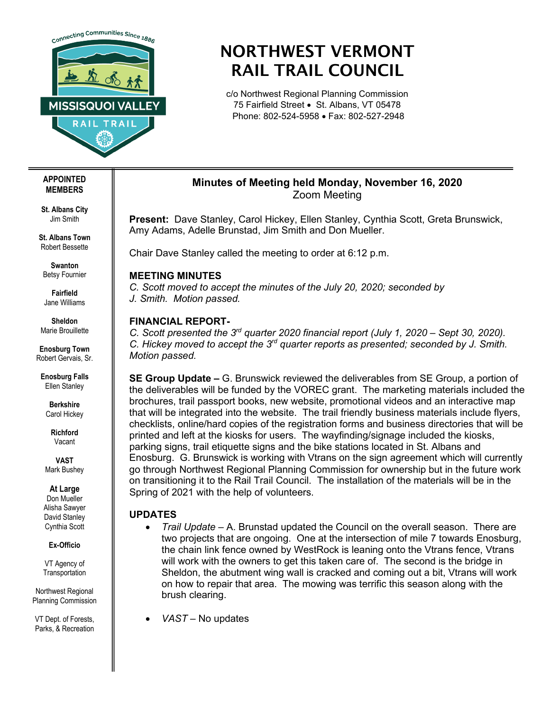

# NORTHWEST VERMONT RAIL TRAIL COUNCIL

c/o Northwest Regional Planning Commission 75 Fairfield Street • St. Albans, VT 05478 Phone: 802-524-5958 • Fax: 802-527-2948

# **Minutes of Meeting held Monday, November 16, 2020** Zoom Meeting

**Present:** Dave Stanley, Carol Hickey, Ellen Stanley, Cynthia Scott, Greta Brunswick, Amy Adams, Adelle Brunstad, Jim Smith and Don Mueller.

Chair Dave Stanley called the meeting to order at 6:12 p.m.

## **MEETING MINUTES**

*C. Scott moved to accept the minutes of the July 20, 2020; seconded by J. Smith. Motion passed.* 

## **FINANCIAL REPORT-**

*C. Scott presented the 3rd quarter 2020 financial report (July 1, 2020 – Sept 30, 2020). C. Hickey moved to accept the 3rd quarter reports as presented; seconded by J. Smith. Motion passed.*

**SE Group Update –** G. Brunswick reviewed the deliverables from SE Group, a portion of the deliverables will be funded by the VOREC grant. The marketing materials included the brochures, trail passport books, new website, promotional videos and an interactive map that will be integrated into the website. The trail friendly business materials include flyers, checklists, online/hard copies of the registration forms and business directories that will be printed and left at the kiosks for users. The wayfinding/signage included the kiosks, parking signs, trail etiquette signs and the bike stations located in St. Albans and Enosburg. G. Brunswick is working with Vtrans on the sign agreement which will currently go through Northwest Regional Planning Commission for ownership but in the future work on transitioning it to the Rail Trail Council. The installation of the materials will be in the Spring of 2021 with the help of volunteers.

# **UPDATES**

- *Trail Update –* A. Brunstad updated the Council on the overall season. There are two projects that are ongoing. One at the intersection of mile 7 towards Enosburg, the chain link fence owned by WestRock is leaning onto the Vtrans fence, Vtrans will work with the owners to get this taken care of. The second is the bridge in Sheldon, the abutment wing wall is cracked and coming out a bit, Vtrans will work on how to repair that area. The mowing was terrific this season along with the brush clearing.
- *VAST –* No updates

**APPOINTED MEMBERS**

**St. Albans City** Jim Smith

**St. Albans Town** Robert Bessette

**Swanton** Betsy Fournier

**Fairfield** Jane Williams

**Sheldon** Marie Brouillette

**Enosburg Town** Robert Gervais, Sr.

**Enosburg Falls** Ellen Stanley

> **Berkshire** Carol Hickey

**Richford** Vacant

**VAST** Mark Bushey

**At Large**

Don Mueller Alisha Sawyer David Stanley Cynthia Scott

**Ex-Officio**

VT Agency of **Transportation** 

Northwest Regional Planning Commission

VT Dept. of Forests, Parks, & Recreation